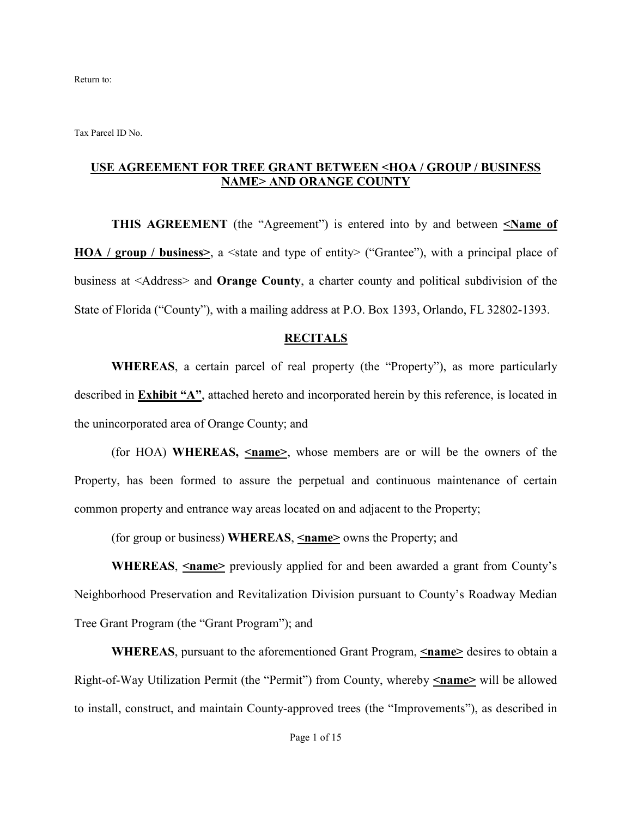Return to:

Tax Parcel ID No.

#### **USE AGREEMENT FOR TREE GRANT BETWEEN <HOA / GROUP / BUSINESS NAME> AND ORANGE COUNTY**

**THIS AGREEMENT** (the "Agreement") is entered into by and between **<Name of HOA / group / business>,** a <state and type of entity> ("Grantee"), with a principal place of business at <Address> and **Orange County**, a charter county and political subdivision of the State of Florida ("County"), with a mailing address at P.O. Box 1393, Orlando, FL 32802-1393.

#### **RECITALS**

**WHEREAS**, a certain parcel of real property (the "Property"), as more particularly described in **Exhibit "A"**, attached hereto and incorporated herein by this reference, is located in the unincorporated area of Orange County; and

(for HOA) **WHEREAS, <name>**, whose members are or will be the owners of the Property, has been formed to assure the perpetual and continuous maintenance of certain common property and entrance way areas located on and adjacent to the Property;

(for group or business) **WHEREAS**, **<name>** owns the Property; and

**WHEREAS,**  $\leq$ **name>** previously applied for and been awarded a grant from County's Neighborhood Preservation and Revitalization Division pursuant to County's Roadway Median Tree Grant Program (the "Grant Program"); and

**WHEREAS**, pursuant to the aforementioned Grant Program, **<name>** desires to obtain a Right-of-Way Utilization Permit (the "Permit") from County, whereby **<name>** will be allowed to install, construct, and maintain County-approved trees (the "Improvements"), as described in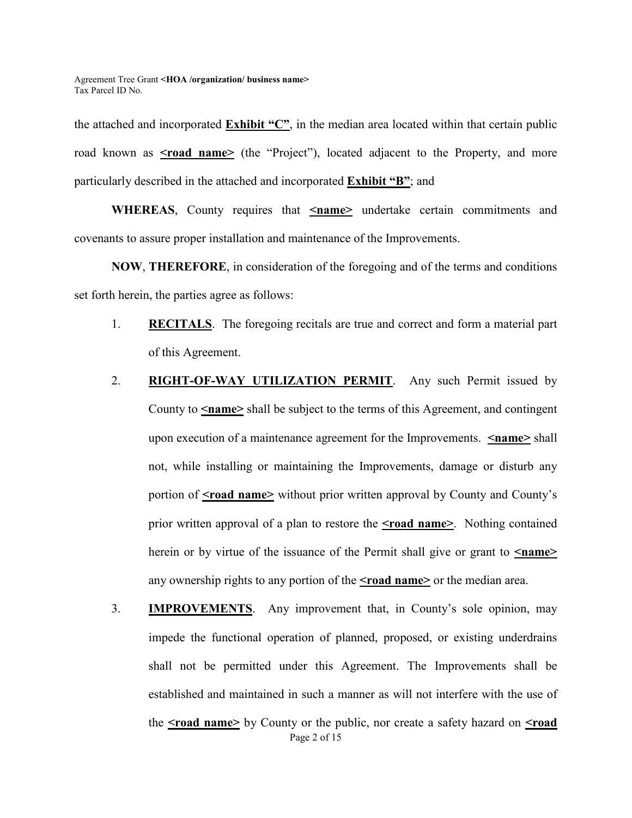the attached and incorporated **Exhibit "C"**, in the median area located within that certain public road known as **<road name>** (the "Project"), located adjacent to the Property, and more particularly described in the attached and incorporated **Exhibit "B"**; and

**WHEREAS**, County requires that **<name>** undertake certain commitments and covenants to assure proper installation and maintenance of the Improvements.

**NOW**, **THEREFORE**, in consideration of the foregoing and of the terms and conditions set forth herein, the parties agree as follows:

- 1. **RECITALS**. The foregoing recitals are true and correct and form a material part of this Agreement.
- 2. **RIGHT-OF-WAY UTILIZATION PERMIT**. Any such Permit issued by County to **<name>** shall be subject to the terms of this Agreement, and contingent upon execution of a maintenance agreement for the Improvements. **<name>** shall not, while installing or maintaining the Improvements, damage or disturb any portion of **<raad name>** without prior written approval by County and County's prior written approval of a plan to restore the **<road name>**. Nothing contained herein or by virtue of the issuance of the Permit shall give or grant to  $\le$ **name>** any ownership rights to any portion of the **<road name>** or the median area.
- Page 2 of 15 3. **IMPROVEMENTS**. Any improvement that, in County's sole opinion, may impede the functional operation of planned, proposed, or existing underdrains shall not be permitted under this Agreement. The Improvements shall be established and maintained in such a manner as will not interfere with the use of the **<road name>** by County or the public, nor create a safety hazard on **<road**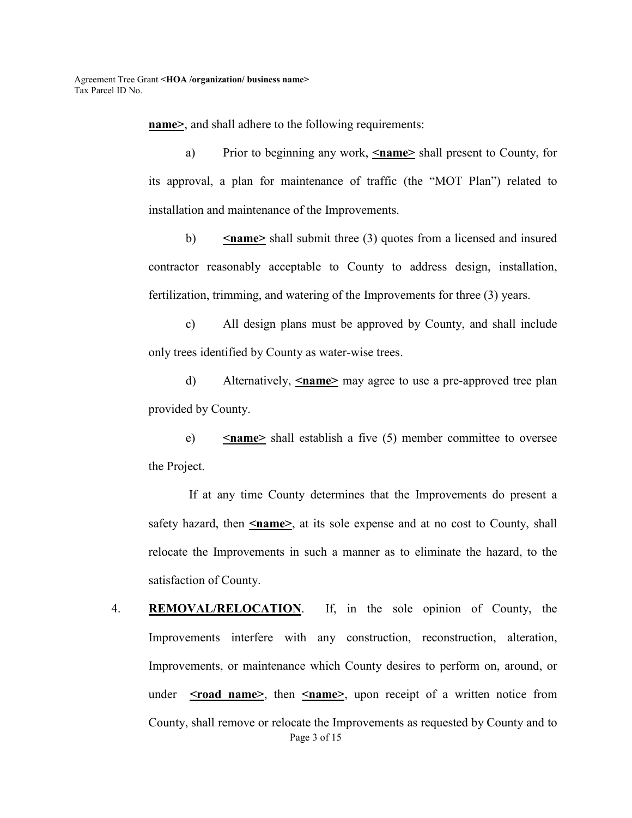**name>**, and shall adhere to the following requirements:

a) Prior to beginning any work,  $\leq$ **name**> shall present to County, for its approval, a plan for maintenance of traffic (the "MOT Plan") related to installation and maintenance of the Improvements.

b)  $\leq$ **name>** shall submit three (3) quotes from a licensed and insured contractor reasonably acceptable to County to address design, installation, fertilization, trimming, and watering of the Improvements for three (3) years.

c) All design plans must be approved by County, and shall include only trees identified by County as water-wise trees.

 d) Alternatively, **<name>** may agree to use a pre-approved tree plan provided by County.

e) **<name>** shall establish a five (5) member committee to oversee the Project.

 If at any time County determines that the Improvements do present a safety hazard, then  $\leq$ **name**, at its sole expense and at no cost to County, shall relocate the Improvements in such a manner as to eliminate the hazard, to the satisfaction of County.

Page 3 of 15 4. **REMOVAL/RELOCATION**. If, in the sole opinion of County, the Improvements interfere with any construction, reconstruction, alteration, Improvements, or maintenance which County desires to perform on, around, or under <road name>, then <name>, upon receipt of a written notice from County, shall remove or relocate the Improvements as requested by County and to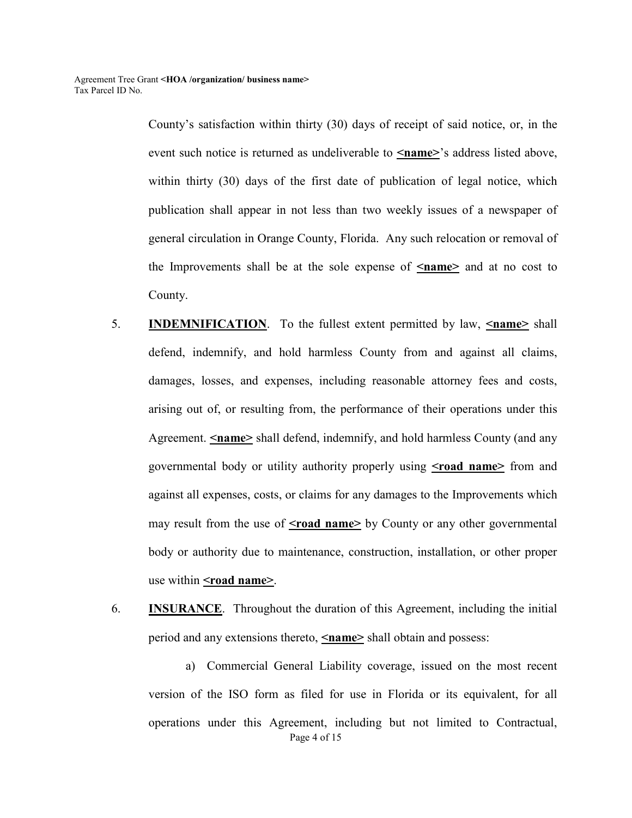County's satisfaction within thirty (30) days of receipt of said notice, or, in the event such notice is returned as undeliverable to  $\leq$ **name**>'s address listed above, within thirty (30) days of the first date of publication of legal notice, which publication shall appear in not less than two weekly issues of a newspaper of general circulation in Orange County, Florida. Any such relocation or removal of the Improvements shall be at the sole expense of  $\leq$ **name** and at no cost to County.

- 5. **INDEMNIFICATION**. To the fullest extent permitted by law, **<name>** shall defend, indemnify, and hold harmless County from and against all claims, damages, losses, and expenses, including reasonable attorney fees and costs, arising out of, or resulting from, the performance of their operations under this Agreement. **<name>** shall defend, indemnify, and hold harmless County (and any governmental body or utility authority properly using **<road name>** from and against all expenses, costs, or claims for any damages to the Improvements which may result from the use of **<road name>** by County or any other governmental body or authority due to maintenance, construction, installation, or other proper use within **<rad name>**.
- 6. **INSURANCE**. Throughout the duration of this Agreement, including the initial period and any extensions thereto, **<name>** shall obtain and possess:

Page 4 of 15 a) Commercial General Liability coverage, issued on the most recent version of the ISO form as filed for use in Florida or its equivalent, for all operations under this Agreement, including but not limited to Contractual,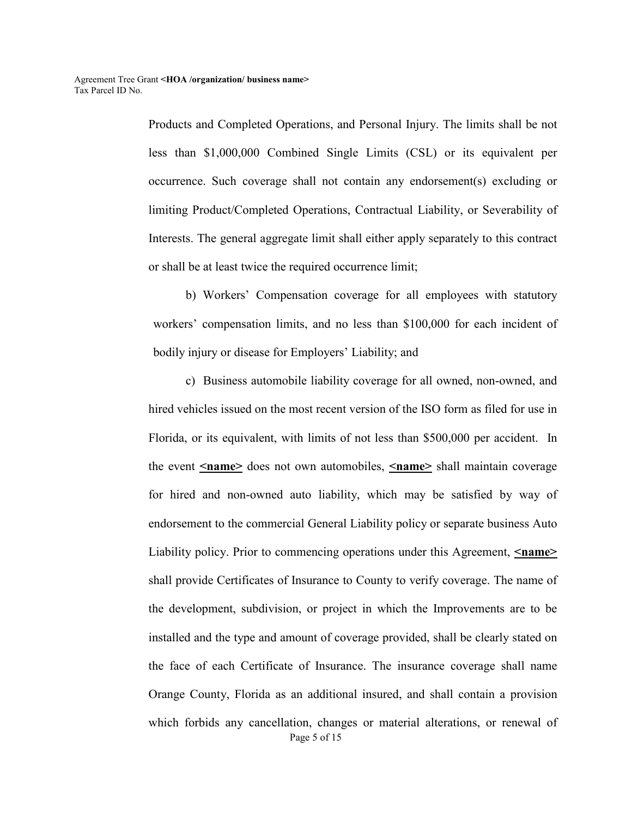Products and Completed Operations, and Personal Injury. The limits shall be not less than \$1,000,000 Combined Single Limits (CSL) or its equivalent per occurrence. Such coverage shall not contain any endorsement(s) excluding or limiting Product/Completed Operations, Contractual Liability, or Severability of Interests. The general aggregate limit shall either apply separately to this contract or shall be at least twice the required occurrence limit;

b) Workers' Compensation coverage for all employees with statutory workers' compensation limits, and no less than \$100,000 for each incident of bodily injury or disease for Employers' Liability; and

Page 5 of 15 c) Business automobile liability coverage for all owned, non-owned, and hired vehicles issued on the most recent version of the ISO form as filed for use in Florida, or its equivalent, with limits of not less than \$500,000 per accident. In the event **<name>** does not own automobiles, **<name>** shall maintain coverage for hired and non-owned auto liability, which may be satisfied by way of endorsement to the commercial General Liability policy or separate business Auto Liability policy. Prior to commencing operations under this Agreement, **<name>** shall provide Certificates of Insurance to County to verify coverage. The name of the development, subdivision, or project in which the Improvements are to be installed and the type and amount of coverage provided, shall be clearly stated on the face of each Certificate of Insurance. The insurance coverage shall name Orange County, Florida as an additional insured, and shall contain a provision which forbids any cancellation, changes or material alterations, or renewal of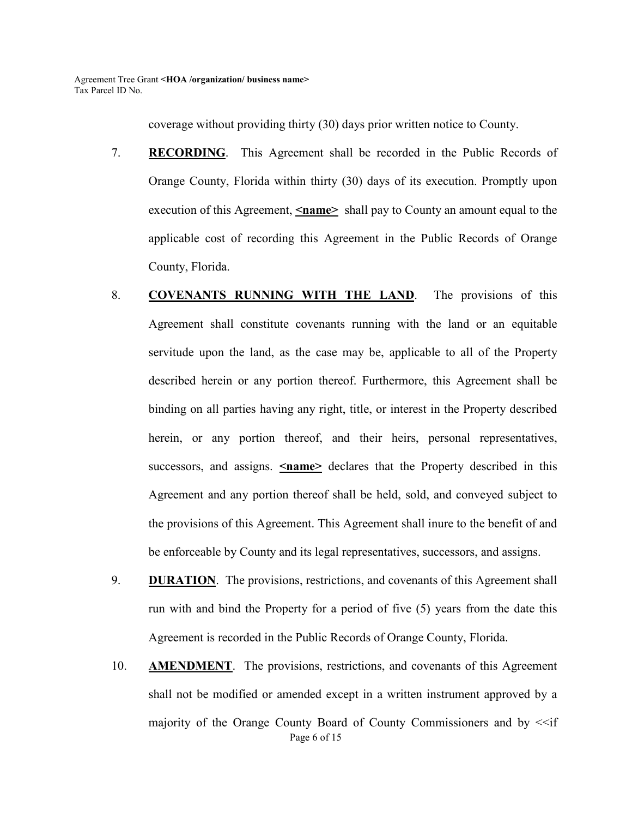coverage without providing thirty (30) days prior written notice to County.

- 7. **RECORDING**. This Agreement shall be recorded in the Public Records of Orange County, Florida within thirty (30) days of its execution. Promptly upon execution of this Agreement, **Iname** shall pay to County an amount equal to the applicable cost of recording this Agreement in the Public Records of Orange County, Florida.
- 8. **COVENANTS RUNNING WITH THE LAND**. The provisions of this Agreement shall constitute covenants running with the land or an equitable servitude upon the land, as the case may be, applicable to all of the Property described herein or any portion thereof. Furthermore, this Agreement shall be binding on all parties having any right, title, or interest in the Property described herein, or any portion thereof, and their heirs, personal representatives, successors, and assigns. **<name>** declares that the Property described in this Agreement and any portion thereof shall be held, sold, and conveyed subject to the provisions of this Agreement. This Agreement shall inure to the benefit of and be enforceable by County and its legal representatives, successors, and assigns.
- 9. **DURATION**. The provisions, restrictions, and covenants of this Agreement shall run with and bind the Property for a period of five (5) years from the date this Agreement is recorded in the Public Records of Orange County, Florida.
- Page 6 of 15 10. **AMENDMENT**. The provisions, restrictions, and covenants of this Agreement shall not be modified or amended except in a written instrument approved by a majority of the Orange County Board of County Commissioners and by  $\leq f$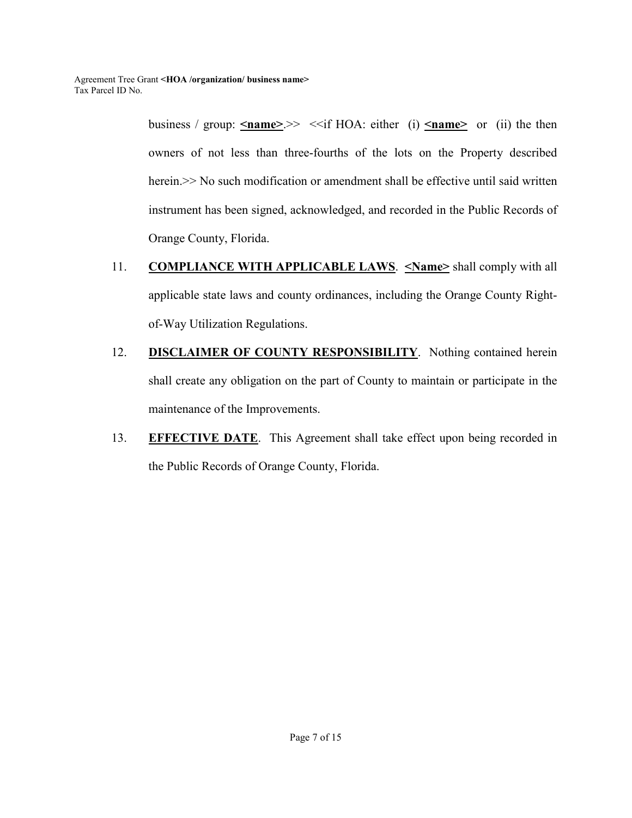business / group:  $\leq$ name>>  $\leq$  if HOA: either (i)  $\leq$ name> or (ii) the then owners of not less than three-fourths of the lots on the Property described herein. >> No such modification or amendment shall be effective until said written instrument has been signed, acknowledged, and recorded in the Public Records of Orange County, Florida.

- 11. **COMPLIANCE WITH APPLICABLE LAWS**. **<Name>** shall comply with all applicable state laws and county ordinances, including the Orange County Rightof-Way Utilization Regulations.
- 12. **DISCLAIMER OF COUNTY RESPONSIBILITY**. Nothing contained herein shall create any obligation on the part of County to maintain or participate in the maintenance of the Improvements.
- 13. **EFFECTIVE DATE**. This Agreement shall take effect upon being recorded in the Public Records of Orange County, Florida.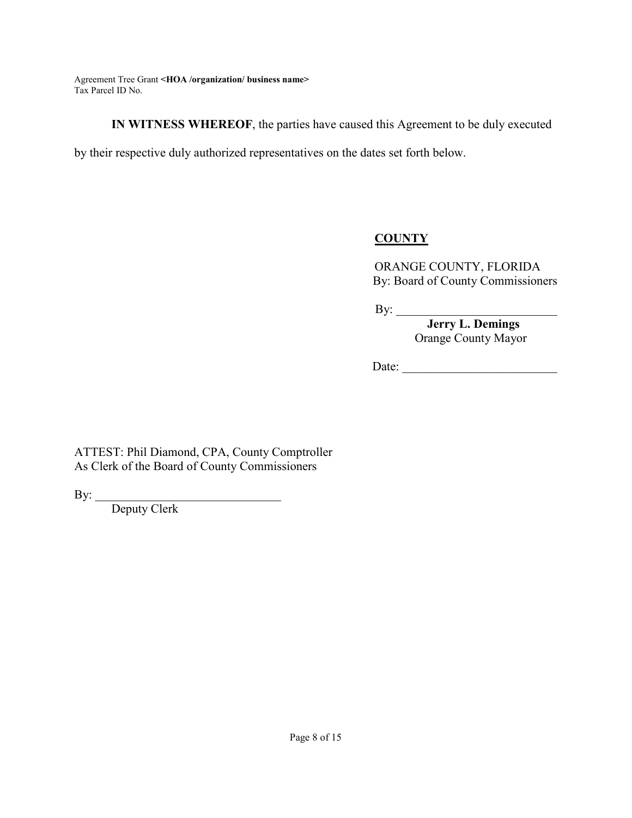**IN WITNESS WHEREOF**, the parties have caused this Agreement to be duly executed

by their respective duly authorized representatives on the dates set forth below.

### **COUNTY**

ORANGE COUNTY, FLORIDA By: Board of County Commissioners

 $\mathbf{By:}$ 

 **Jerry L. Demings**  Orange County Mayor

Date:

ATTEST: Phil Diamond, CPA, County Comptroller As Clerk of the Board of County Commissioners

By: \_\_\_\_\_\_\_\_\_\_\_\_\_\_\_\_\_\_\_\_\_\_\_\_\_\_\_\_\_\_

Deputy Clerk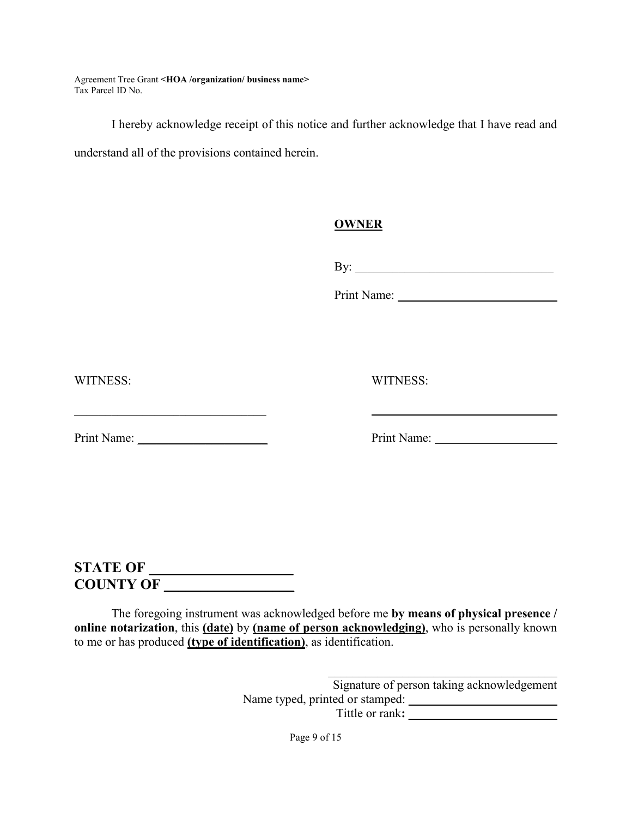I hereby acknowledge receipt of this notice and further acknowledge that I have read and understand all of the provisions contained herein.

### **OWNER**

By: \_\_\_\_\_\_\_\_\_\_\_\_\_\_\_\_\_\_\_\_\_\_\_\_\_\_\_\_\_\_\_\_

Print Name:

WITNESS: WITNESS:

Print Name: \_\_\_\_\_\_\_\_\_\_\_\_\_\_\_\_\_\_\_\_\_ Print Name:

# **STATE OF \_\_\_\_\_\_\_\_\_\_\_\_\_\_\_\_\_\_\_\_ COUNTY OF \_\_\_\_\_\_\_\_\_\_\_\_\_\_\_\_\_\_**

The foregoing instrument was acknowledged before me **by means of physical presence / online notarization**, this **(date)** by **(name of person acknowledging)**, who is personally known to me or has produced **(type of identification)**, as identification.

> \_\_\_\_\_\_\_\_\_\_\_\_\_\_\_\_\_\_\_\_\_\_\_\_\_\_\_\_\_\_\_\_\_\_\_\_\_ Signature of person taking acknowledgement Name typed, printed or stamped: Tittle or rank**: \_\_\_\_\_\_\_\_\_\_\_\_\_\_\_\_\_\_\_\_\_\_\_\_**

> > Page 9 of 15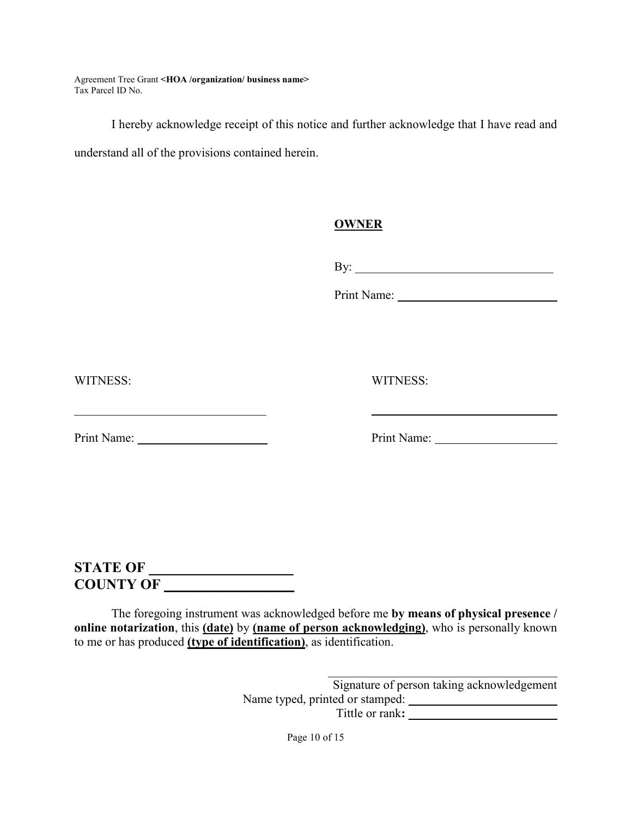I hereby acknowledge receipt of this notice and further acknowledge that I have read and understand all of the provisions contained herein.

### **OWNER**

By: \_\_\_\_\_\_\_\_\_\_\_\_\_\_\_\_\_\_\_\_\_\_\_\_\_\_\_\_\_\_\_\_

Print Name:

WITNESS: WITNESS:

Print Name: \_\_\_\_\_\_\_\_\_\_\_\_\_\_\_\_\_\_\_\_\_ Print Name:

# **STATE OF \_\_\_\_\_\_\_\_\_\_\_\_\_\_\_\_\_\_\_\_ COUNTY OF \_\_\_\_\_\_\_\_\_\_\_\_\_\_\_\_\_\_**

The foregoing instrument was acknowledged before me **by means of physical presence / online notarization**, this **(date)** by **(name of person acknowledging)**, who is personally known to me or has produced **(type of identification)**, as identification.

> \_\_\_\_\_\_\_\_\_\_\_\_\_\_\_\_\_\_\_\_\_\_\_\_\_\_\_\_\_\_\_\_\_\_\_\_\_ Signature of person taking acknowledgement Name typed, printed or stamped: Tittle or rank**: \_\_\_\_\_\_\_\_\_\_\_\_\_\_\_\_\_\_\_\_\_\_\_\_**

> > Page 10 of 15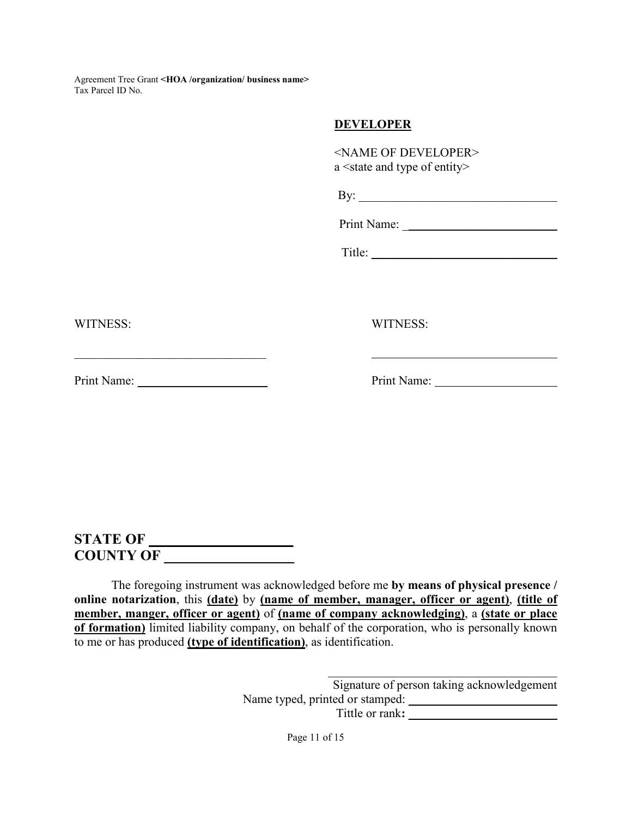### **DEVELOPER**

| <name developer="" of=""></name>                 |
|--------------------------------------------------|
| a <state and="" entity="" of="" type=""></state> |

| 1 |  |  |  |
|---|--|--|--|
|   |  |  |  |

Print Name:

Title:

WITNESS: WITNESS:

Print Name: \_\_\_\_\_\_\_\_\_\_\_\_\_\_\_\_\_\_\_\_\_ Print Name:

 $\mathcal{L}_\text{max}$  , and the set of the set of the set of the set of the set of the set of the set of the set of the set of the set of the set of the set of the set of the set of the set of the set of the set of the set of the

# **STATE OF \_\_\_\_\_\_\_\_\_\_\_\_\_\_\_\_\_\_\_\_ COUNTY OF \_\_\_\_\_\_\_\_\_\_\_\_\_\_\_\_\_\_**

The foregoing instrument was acknowledged before me **by means of physical presence / online notarization**, this **(date)** by **(name of member, manager, officer or agent)**, **(title of member, manger, officer or agent)** of **(name of company acknowledging)**, a **(state or place of formation)** limited liability company, on behalf of the corporation, who is personally known to me or has produced **(type of identification)**, as identification.

> \_\_\_\_\_\_\_\_\_\_\_\_\_\_\_\_\_\_\_\_\_\_\_\_\_\_\_\_\_\_\_\_\_\_\_\_\_ Signature of person taking acknowledgement Name typed, printed or stamped: Tittle or rank:

> > Page 11 of 15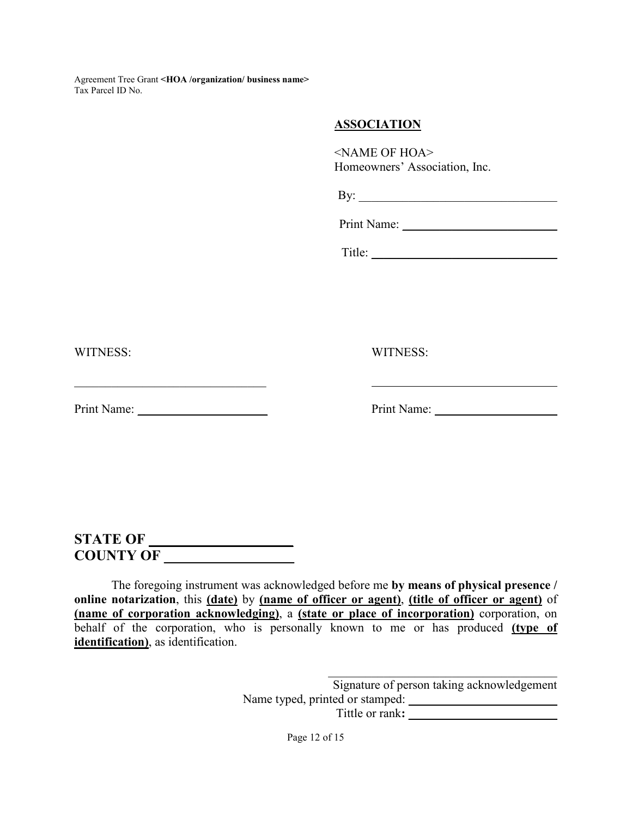#### **ASSOCIATION**

<NAME OF HOA> Homeowners' Association, Inc.

By: \_\_\_\_\_\_\_\_\_\_\_\_\_\_\_\_\_\_\_\_\_\_\_\_\_\_\_\_\_\_\_\_

Print Name:

Title: \_\_\_\_\_\_\_\_\_\_\_\_\_\_\_\_\_\_\_\_\_\_\_\_\_\_\_\_\_\_

WITNESS: WITNESS:

Print Name: \_\_\_\_\_\_\_\_\_\_\_\_\_\_\_\_\_\_\_\_\_ Print Name:

# **STATE OF \_\_\_\_\_\_\_\_\_\_\_\_\_\_\_\_\_\_\_\_ COUNTY OF \_\_\_\_\_\_\_\_\_\_\_\_\_\_\_\_\_\_**

The foregoing instrument was acknowledged before me **by means of physical presence / online notarization**, this **(date)** by **(name of officer or agent)**, **(title of officer or agent)** of **(name of corporation acknowledging)**, a **(state or place of incorporation)** corporation, on behalf of the corporation, who is personally known to me or has produced **(type of identification)**, as identification.

> \_\_\_\_\_\_\_\_\_\_\_\_\_\_\_\_\_\_\_\_\_\_\_\_\_\_\_\_\_\_\_\_\_\_\_\_\_ Signature of person taking acknowledgement Name typed, printed or stamped: Tittle or rank**: \_\_\_\_\_\_\_\_\_\_\_\_\_\_\_\_\_\_\_\_\_\_\_\_**

> > Page 12 of 15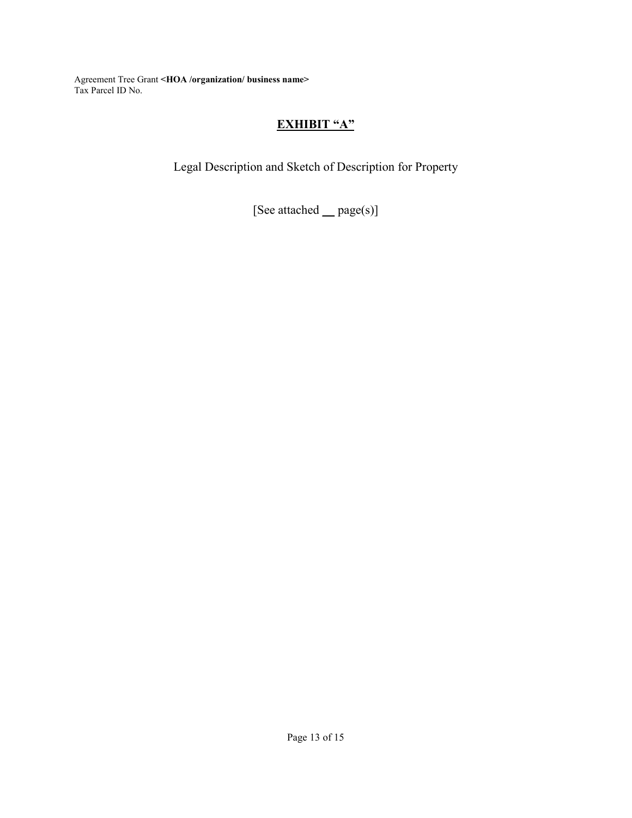# **EXHIBIT "A"**

Legal Description and Sketch of Description for Property

[See attached **\_\_** page(s)]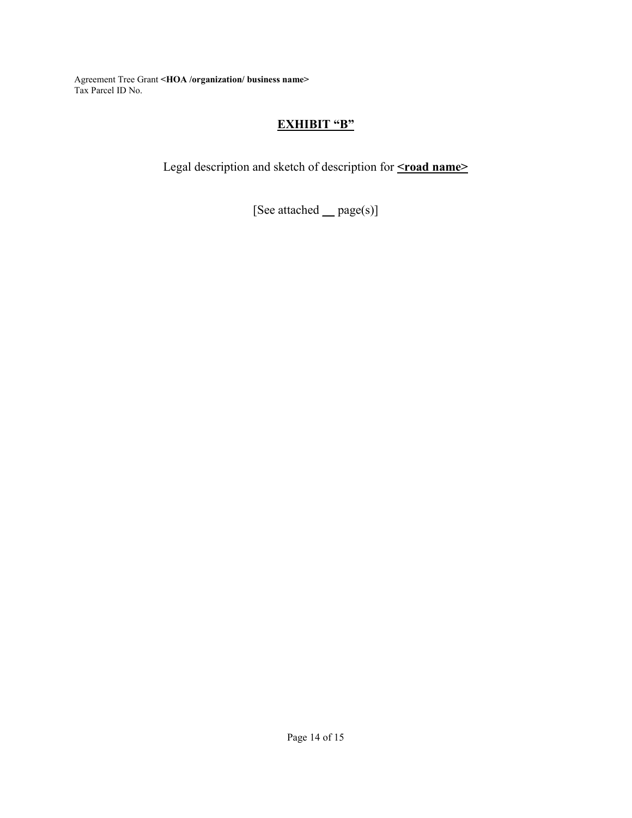## **EXHIBIT "B"**

Legal description and sketch of description for **<rad name>** 

[See attached **\_\_** page(s)]